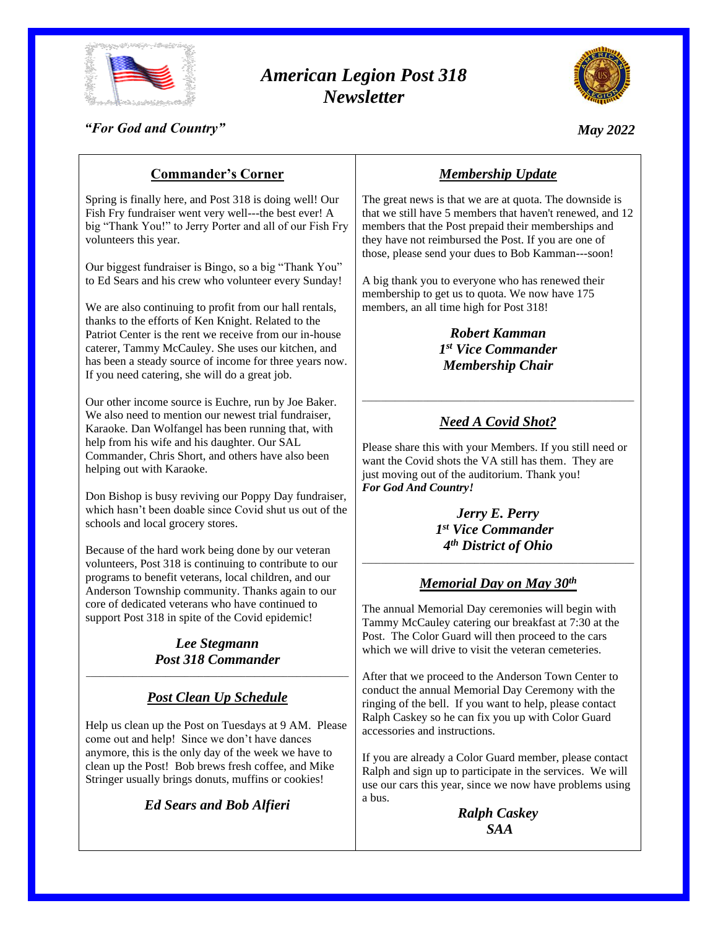

# *American Legion Post 318 Newsletter*



*"For God and Country"*

*May 2022*

## **Commander's Corner**

Spring is finally here, and Post 318 is doing well! Our Fish Fry fundraiser went very well---the best ever! A big "Thank You!" to Jerry Porter and all of our Fish Fry volunteers this year.

Our biggest fundraiser is Bingo, so a big "Thank You" to Ed Sears and his crew who volunteer every Sunday!

We are also continuing to profit from our hall rentals, thanks to the efforts of Ken Knight. Related to the Patriot Center is the rent we receive from our in-house caterer, Tammy McCauley. She uses our kitchen, and has been a steady source of income for three years now. If you need catering, she will do a great job.

Our other income source is Euchre, run by Joe Baker. We also need to mention our newest trial fundraiser, Karaoke. Dan Wolfangel has been running that, with help from his wife and his daughter. Our SAL Commander, Chris Short, and others have also been helping out with Karaoke.

Don Bishop is busy reviving our Poppy Day fundraiser, which hasn't been doable since Covid shut us out of the schools and local grocery stores.

Because of the hard work being done by our veteran volunteers, Post 318 is continuing to contribute to our programs to benefit veterans, local children, and our Anderson Township community. Thanks again to our core of dedicated veterans who have continued to support Post 318 in spite of the Covid epidemic!

#### *Lee Stegmann Post 318 Commander* \_\_\_\_\_\_\_\_\_\_\_\_\_\_\_\_\_\_\_\_\_\_\_\_\_\_\_\_\_\_\_\_\_\_\_\_\_\_\_\_\_\_\_\_\_\_\_\_\_\_\_\_\_\_\_\_

## *Post Clean Up Schedule*

Help us clean up the Post on Tuesdays at 9 AM. Please come out and help! Since we don't have dances anymore, this is the only day of the week we have to clean up the Post! Bob brews fresh coffee, and Mike Stringer usually brings donuts, muffins or cookies!

*Ed Sears and Bob Alfieri*

## *Membership Update*

The great news is that we are at quota. The downside is that we still have 5 members that haven't renewed, and 12 members that the Post prepaid their memberships and they have not reimbursed the Post. If you are one of those, please send your dues to Bob Kamman---soon!

A big thank you to everyone who has renewed their membership to get us to quota. We now have 175 members, an all time high for Post 318!

> *Robert Kamman 1 st Vice Commander Membership Chair*

## *Need A Covid Shot?*

\_\_\_\_\_\_\_\_\_\_\_\_\_\_\_\_\_\_\_\_\_\_\_\_\_\_\_\_\_\_\_\_\_\_\_\_\_\_\_\_\_\_\_\_\_\_\_\_\_\_\_\_\_\_\_\_\_\_

Please share this with your Members. If you still need or want the Covid shots the VA still has them. They are just moving out of the auditorium. Thank you! *For God And Country!*

> *Jerry E. Perry 1 st Vice Commander 4 th District of Ohio*

## \_\_\_\_\_\_\_\_\_\_\_\_\_\_\_\_\_\_\_\_\_\_\_\_\_\_\_\_\_\_\_\_\_\_\_\_\_\_\_\_\_\_\_\_\_\_\_\_\_\_\_\_\_\_\_\_\_\_ *Memorial Day on May 30th*

The annual Memorial Day ceremonies will begin with Tammy McCauley catering our breakfast at 7:30 at the Post. The Color Guard will then proceed to the cars which we will drive to visit the veteran cemeteries.

After that we proceed to the Anderson Town Center to conduct the annual Memorial Day Ceremony with the ringing of the bell. If you want to help, please contact Ralph Caskey so he can fix you up with Color Guard accessories and instructions.

If you are already a Color Guard member, please contact Ralph and sign up to participate in the services. We will use our cars this year, since we now have problems using a bus.

*Ralph Caskey SAA*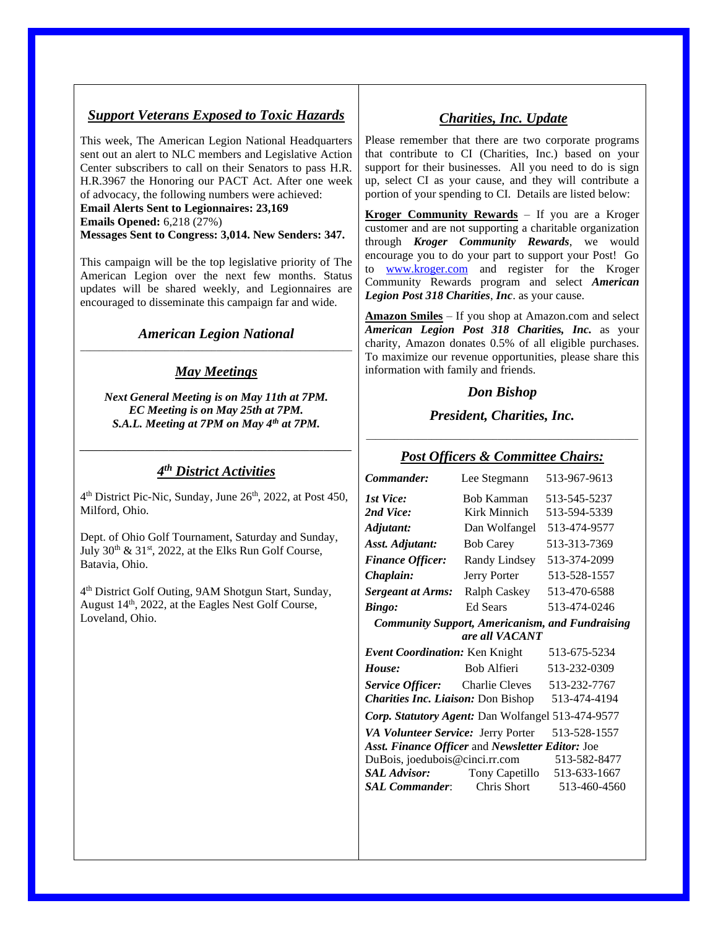### *Support Veterans Exposed to Toxic Hazards*

This week, The American Legion National Headquarters sent out an alert to NLC members and Legislative Action Center subscribers to call on their Senators to pass H.R. H.R.3967 the Honoring our PACT Act. After one week of advocacy, the following numbers were achieved:

**Email Alerts Sent to Legionnaires: 23,169 Emails Opened:** 6,218 (27%) **Messages Sent to Congress: 3,014. New Senders: 347.**

This campaign will be the top legislative priority of The American Legion over the next few months. Status updates will be shared weekly, and Legionnaires are encouraged to disseminate this campaign far and wide.

#### *American Legion National* \_\_\_\_\_\_\_\_\_\_\_\_\_\_\_\_\_\_\_\_\_\_\_\_\_\_\_\_\_\_\_\_\_\_\_\_\_\_\_\_\_\_\_\_\_\_\_\_\_\_\_\_\_\_\_\_\_\_

### *May Meetings*

*Next General Meeting is on May 11th at 7PM. EC Meeting is on May 25th at 7PM. S.A.L. Meeting at 7PM on May 4th at 7PM.*

### *4 th District Activities*

*\_\_\_\_\_\_\_\_\_\_\_\_\_\_\_\_\_\_\_\_\_\_\_\_\_\_\_\_\_\_\_\_\_\_\_\_\_\_\_\_\_\_\_\_\_\_\_\_\_\_\_\_\_\_\_\_\_\_*

4<sup>th</sup> District Pic-Nic, Sunday, June 26<sup>th</sup>, 2022, at Post 450, Milford, Ohio.

Dept. of Ohio Golf Tournament, Saturday and Sunday, July  $30<sup>th</sup>$  &  $31<sup>st</sup>$ ,  $2022$ , at the Elks Run Golf Course, Batavia, Ohio.

4 th District Golf Outing, 9AM Shotgun Start, Sunday, August 14<sup>th</sup>, 2022, at the Eagles Nest Golf Course, Loveland, Ohio.

## *Charities, Inc. Update*

Please remember that there are two corporate programs that contribute to CI (Charities, Inc.) based on your support for their businesses. All you need to do is sign up, select CI as your cause, and they will contribute a portion of your spending to CI. Details are listed below:

**Kroger Community Rewards** – If you are a Kroger customer and are not supporting a charitable organization through *Kroger Community Rewards*, we would encourage you to do your part to support your Post! Go to [www.kroger.com](http://www.kroger.com/) and register for the Kroger Community Rewards program and select *American Legion Post 318 Charities*, *Inc*. as your cause.

**Amazon Smiles** – If you shop at Amazon.com and select *American Legion Post 318 Charities, Inc.* as your charity, Amazon donates 0.5% of all eligible purchases. To maximize our revenue opportunities, please share this information with family and friends.

#### *Don Bishop*

*President, Charities, Inc.* \_\_\_\_\_\_\_\_\_\_\_\_\_\_\_\_\_\_\_\_\_\_\_\_\_\_\_\_\_\_\_\_\_\_\_\_\_\_\_\_\_\_\_\_\_\_\_\_\_\_\_\_\_\_\_\_\_\_

### *Post Officers & Committee Chairs:*

| Commander:                                                                                                                  | Lee Stegmann                      | 513-967-9613                                                            |
|-----------------------------------------------------------------------------------------------------------------------------|-----------------------------------|-------------------------------------------------------------------------|
| 1st Vice:<br>2nd Vice:                                                                                                      | <b>Bob Kamman</b><br>Kirk Minnich | 513-545-5237<br>513-594-5339                                            |
| Adjutant:                                                                                                                   | Dan Wolfangel                     | 513-474-9577                                                            |
| Asst. Adjutant:                                                                                                             | <b>Bob Carey</b>                  | 513-313-7369                                                            |
| <b>Finance Officer:</b>                                                                                                     | Randy Lindsey                     | 513-374-2099                                                            |
| Chaplain:                                                                                                                   | Jerry Porter                      | 513-528-1557                                                            |
| <b>Sergeant at Arms:</b>                                                                                                    | Ralph Caskey                      | 513-470-6588                                                            |
| <b>Bingo:</b>                                                                                                               | <b>Ed Sears</b>                   | 513-474-0246                                                            |
| <b>Community Support, Americanism, and Fundraising</b><br>are all VACANT                                                    |                                   |                                                                         |
| Event Coordination: Ken Knight                                                                                              |                                   | 513-675-5234                                                            |
| House:                                                                                                                      | Bob Alfieri                       | 513-232-0309                                                            |
| Service Officer: Charlie Cleves 513-232-7767<br><i>Charities Inc. Liaison: Don Bishop</i>                                   |                                   | 513-474-4194                                                            |
| Corp. Statutory Agent: Dan Wolfangel 513-474-9577                                                                           |                                   |                                                                         |
| VA Volunteer Service: Jerry Porter                                                                                          |                                   | 513-528-1557                                                            |
| Asst. Finance Officer and Newsletter Editor: Joe<br>DuBois, joedubois@cinci.rr.com<br><b>SAL Advisor:</b><br>SAL Commander: |                                   | 513-582-8477<br>Tony Capetillo 513-633-1667<br>Chris Short 513-460-4560 |
|                                                                                                                             |                                   |                                                                         |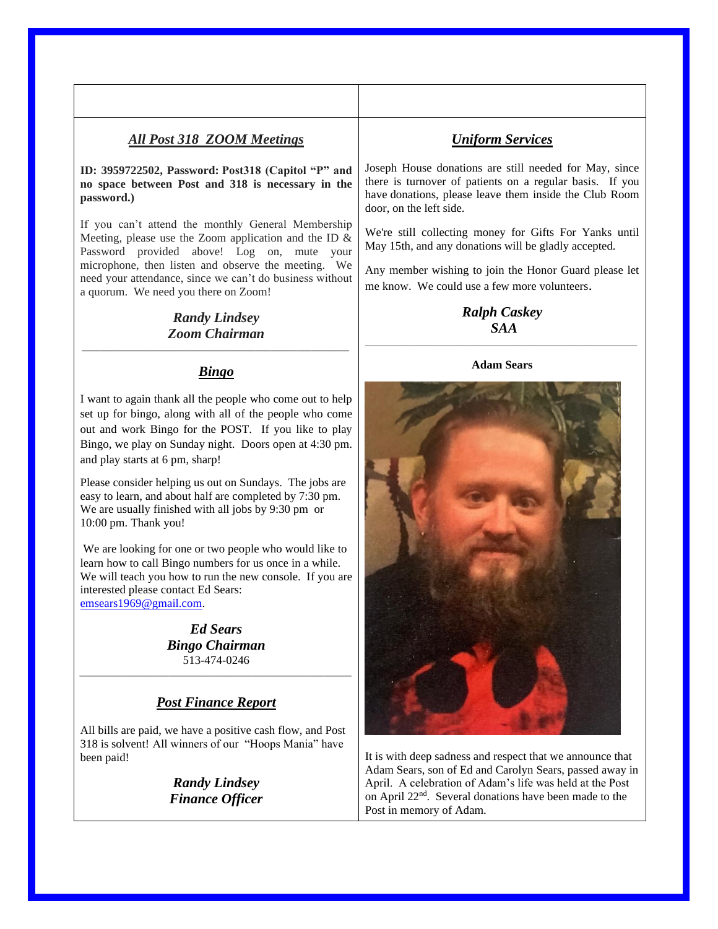### *All Post 318 ZOOM Meetings*

#### **ID: 3959722502, Password: Post318 (Capitol "P" and no space between Post and 318 is necessary in the password.)**

If you can't attend the monthly General Membership Meeting, please use the Zoom application and the ID & Password provided above! Log on, mute your microphone, then listen and observe the meeting. We need your attendance, since we can't do business without a quorum. We need you there on Zoom!

#### *Randy Lindsey Zoom Chairman \_\_\_\_\_\_\_\_\_\_\_\_\_\_\_\_\_\_\_\_\_\_\_\_\_\_\_\_\_\_\_\_\_\_\_\_\_\_\_\_\_\_\_\_\_\_\_\_\_\_\_\_\_\_\_\_\_*

#### *Bingo*

I want to again thank all the people who come out to help set up for bingo, along with all of the people who come out and work Bingo for the POST. If you like to play Bingo, we play on Sunday night. Doors open at 4:30 pm. and play starts at 6 pm, sharp!

Please consider helping us out on Sundays. The jobs are easy to learn, and about half are completed by 7:30 pm. We are usually finished with all jobs by 9:30 pm or 10:00 pm. Thank you!

We are looking for one or two people who would like to learn how to call Bingo numbers for us once in a while. We will teach you how to run the new console. If you are interested please contact Ed Sears: [emsears1969@gmail.com.](mailto:emsears1969@gmail.com)

> *Ed Sears Bingo Chairman* 513-474-0246

#### *Post Finance Report*

*\_\_\_\_\_\_\_\_\_\_\_\_\_\_\_\_\_\_\_\_\_\_\_\_\_\_\_\_\_\_\_\_\_\_\_\_\_\_\_\_\_\_\_\_\_\_\_\_\_\_\_\_\_\_\_\_\_\_*

All bills are paid, we have a positive cash flow, and Post 318 is solvent! All winners of our "Hoops Mania" have been paid!

> *Randy Lindsey Finance Officer*

#### *Uniform Services*

Joseph House donations are still needed for May, since there is turnover of patients on a regular basis. If you have donations, please leave them inside the Club Room door, on the left side.

We're still collecting money for Gifts For Yanks until May 15th, and any donations will be gladly accepted.

Any member wishing to join the Honor Guard please let me know. We could use a few more volunteers.

> *Ralph Caskey SAA*

## \_\_\_\_\_\_\_\_\_\_\_\_\_\_\_\_\_\_\_\_\_\_\_\_\_\_\_\_\_\_\_\_\_\_\_\_\_\_\_\_\_\_\_\_\_\_\_\_\_\_\_\_\_\_\_\_\_\_ **Adam Sears**



It is with deep sadness and respect that we announce that Adam Sears, son of Ed and Carolyn Sears, passed away in April. A celebration of Adam's life was held at the Post on April 22nd. Several donations have been made to the Post in memory of Adam.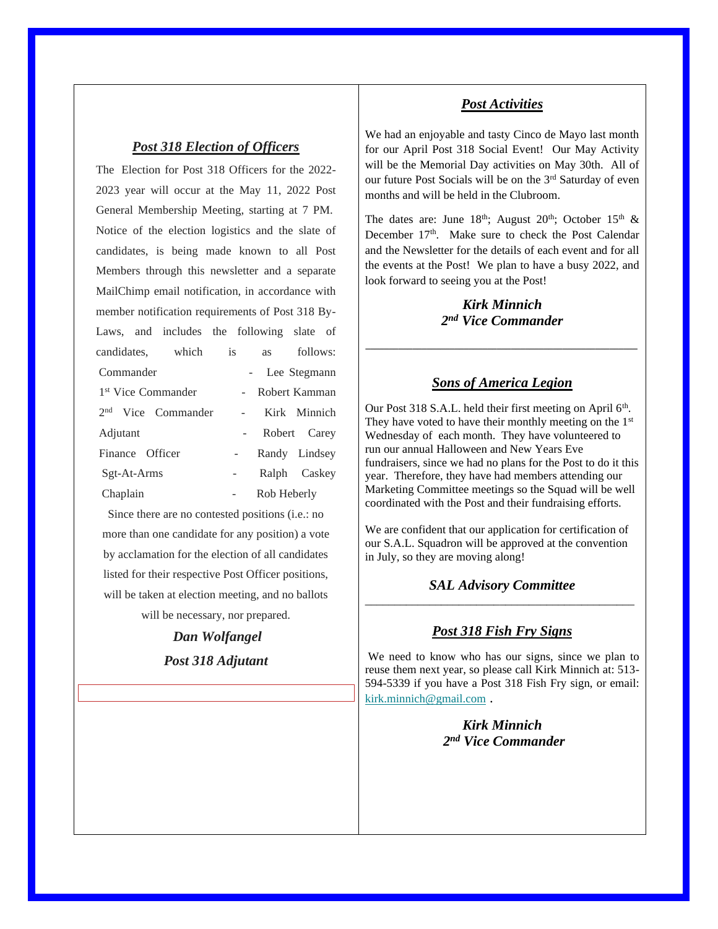#### *Post 318 Election of Officers*

The Election for Post 318 Officers for the 2022- 2023 year will occur at the May 11, 2022 Post General Membership Meeting, starting at 7 PM. Notice of the election logistics and the slate of candidates, is being made known to all Post Members through this newsletter and a separate MailChimp email notification, in accordance with member notification requirements of Post 318 By-Laws, and includes the following slate of candidates, which is as follows: Commander - Lee Stegmann 1<sup>st</sup> Vice Commander - Robert Kamman 2 nd Vice Commander - Kirk Minnich Adjutant - Robert Carey Finance Officer - Randy Lindsey Sgt-At-Arms - Ralph Caskey Chaplain - Rob Heberly

Since there are no contested positions (i.e.: no more than one candidate for any position) a vote by acclamation for the election of all candidates listed for their respective Post Officer positions, will be taken at election meeting, and no ballots will be necessary, nor prepared.

> *Dan Wolfangel Post 318 Adjutant*

#### *Post Activities*

We had an enjoyable and tasty Cinco de Mayo last month for our April Post 318 Social Event! Our May Activity will be the Memorial Day activities on May 30th. All of our future Post Socials will be on the 3rd Saturday of even months and will be held in the Clubroom.

The dates are: June  $18<sup>th</sup>$ ; August  $20<sup>th</sup>$ ; October  $15<sup>th</sup>$  & December  $17<sup>th</sup>$ . Make sure to check the Post Calendar and the Newsletter for the details of each event and for all the events at the Post! We plan to have a busy 2022, and look forward to seeing you at the Post!

### *Kirk Minnich 2 nd Vice Commander*

*\_\_\_\_\_\_\_\_\_\_\_\_\_\_\_\_\_\_\_\_\_\_\_\_\_\_\_\_\_\_\_\_\_\_\_\_\_\_\_\_\_\_\_\_\_\_\_\_\_\_\_\_\_\_\_\_\_\_*

## *Sons of America Legion*

Our Post 318 S.A.L. held their first meeting on April 6<sup>th</sup>. They have voted to have their monthly meeting on the  $1<sup>st</sup>$ Wednesday of each month. They have volunteered to run our annual Halloween and New Years Eve fundraisers, since we had no plans for the Post to do it this year. Therefore, they have had members attending our Marketing Committee meetings so the Squad will be well coordinated with the Post and their fundraising efforts.

We are confident that our application for certification of our S.A.L. Squadron will be approved at the convention in July, so they are moving along!

#### *SAL Advisory Committee* \_\_\_\_\_\_\_\_\_\_\_\_\_\_\_\_\_\_\_\_\_\_\_\_\_\_\_\_\_\_\_\_\_\_\_\_\_\_\_\_\_\_\_\_\_\_

#### *Post 318 Fish Fry Signs*

We need to know who has our signs, since we plan to reuse them next year, so please call Kirk Minnich at: 513- 594-5339 if you have a Post 318 Fish Fry sign, or email: [kirk.minnich@gmail.com](mailto:kirk.minnich@gmail.com) .

> *Kirk Minnich 2 nd Vice Commander*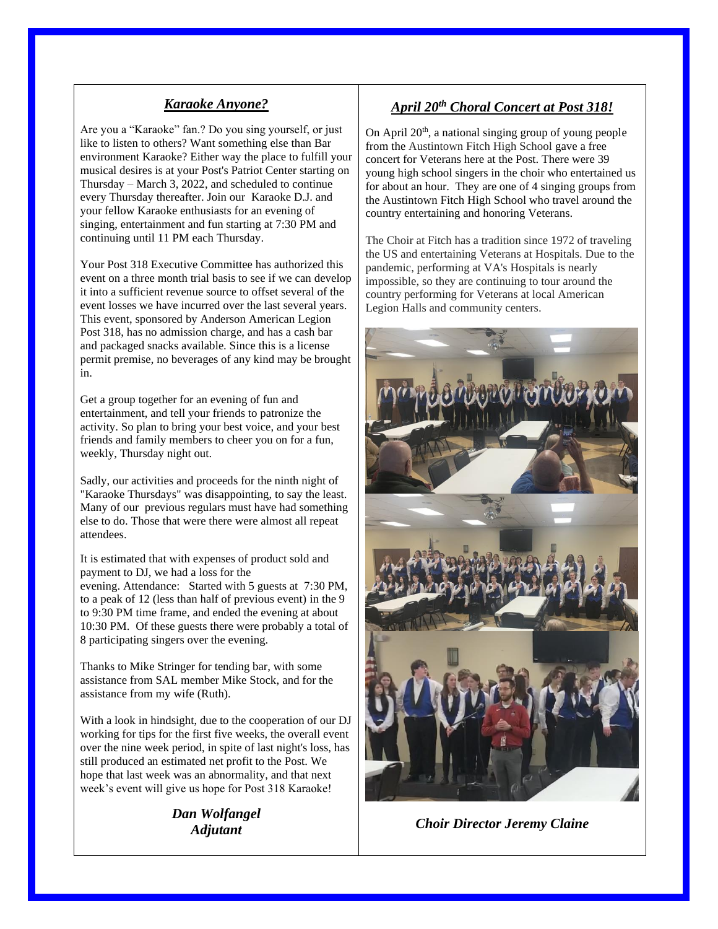## *Karaoke Anyone?*

Are you a "Karaoke" fan.? Do you sing yourself, or just like to listen to others? Want something else than Bar environment Karaoke? Either way the place to fulfill your musical desires is at your Post's Patriot Center starting on Thursday – March 3, 2022, and scheduled to continue every Thursday thereafter. Join our Karaoke D.J. and your fellow Karaoke enthusiasts for an evening of singing, entertainment and fun starting at 7:30 PM and continuing until 11 PM each Thursday.

Your Post 318 Executive Committee has authorized this event on a three month trial basis to see if we can develop it into a sufficient revenue source to offset several of the event losses we have incurred over the last several years. This event, sponsored by Anderson American Legion Post 318, has no admission charge, and has a cash bar and packaged snacks available. Since this is a license permit premise, no beverages of any kind may be brought in.

Get a group together for an evening of fun and entertainment, and tell your friends to patronize the activity. So plan to bring your best voice, and your best friends and family members to cheer you on for a fun, weekly, Thursday night out.

Sadly, our activities and proceeds for the ninth night of "Karaoke Thursdays" was disappointing, to say the least. Many of our previous regulars must have had something else to do. Those that were there were almost all repeat attendees.

It is estimated that with expenses of product sold and payment to DJ, we had a loss for the evening. Attendance: Started with 5 guests at 7:30 PM, to a peak of 12 (less than half of previous event) in the 9 to 9:30 PM time frame, and ended the evening at about 10:30 PM. Of these guests there were probably a total of 8 participating singers over the evening.

Thanks to Mike Stringer for tending bar, with some assistance from SAL member Mike Stock, and for the assistance from my wife (Ruth).

With a look in hindsight, due to the cooperation of our DJ working for tips for the first five weeks, the overall event over the nine week period, in spite of last night's loss, has still produced an estimated net profit to the Post. We hope that last week was an abnormality, and that next week's event will give us hope for Post 318 Karaoke!

> *Dan Wolfangel Adjutant*

## *April 20th Choral Concert at Post 318!*

On April  $20<sup>th</sup>$ , a national singing group of young people from the Austintown Fitch High School gave a free concert for Veterans here at the Post. There were 39 young high school singers in the choir who entertained us for about an hour. They are one of 4 singing groups from the Austintown Fitch High School who travel around the country entertaining and honoring Veterans.

The Choir at Fitch has a tradition since 1972 of traveling the US and entertaining Veterans at Hospitals. Due to the pandemic, performing at VA's Hospitals is nearly impossible, so they are continuing to tour around the country performing for Veterans at local American Legion Halls and community centers.



*Choir Director Jeremy Claine*